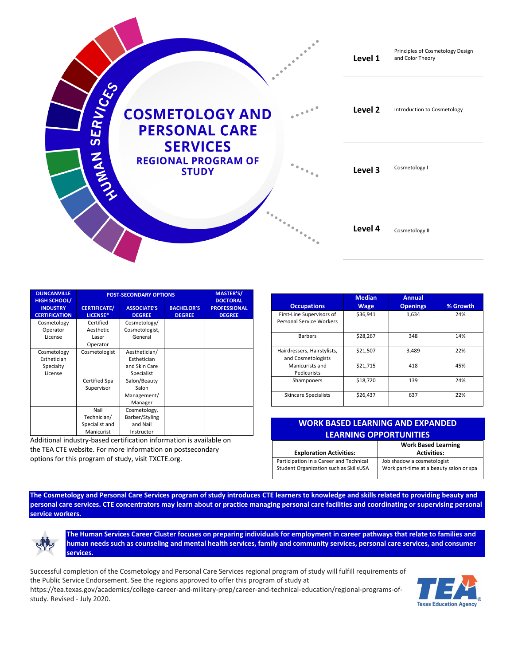

| <b>DUNCANVILLE</b>                                             | <b>POST-SECONDARY OPTIONS</b>   |                                     |                                    | <b>MASTER'S/</b>                                        |
|----------------------------------------------------------------|---------------------------------|-------------------------------------|------------------------------------|---------------------------------------------------------|
| <b>HIGH SCHOOL/</b><br><b>INDUSTRY</b><br><b>CERTIFICATION</b> | <b>CERTIFICATE/</b><br>LICENSE* | <b>ASSOCIATE'S</b><br><b>DEGREE</b> | <b>BACHELOR'S</b><br><b>DEGREE</b> | <b>DOCTORAL</b><br><b>PROFESSIONAL</b><br><b>DEGREE</b> |
| Cosmetology                                                    | Certified                       | Cosmetology/                        |                                    |                                                         |
| Operator                                                       | Aesthetic                       | Cosmetologist,                      |                                    |                                                         |
| License                                                        | Laser                           | General                             |                                    |                                                         |
|                                                                | Operator                        |                                     |                                    |                                                         |
| Cosmetology                                                    | Cosmetologist                   | Aesthetician/                       |                                    |                                                         |
| Esthetician                                                    |                                 | Esthetician                         |                                    |                                                         |
| Specialty                                                      |                                 | and Skin Care                       |                                    |                                                         |
| License                                                        |                                 | Specialist                          |                                    |                                                         |
|                                                                | Certified Spa                   | Salon/Beauty                        |                                    |                                                         |
|                                                                | Supervisor                      | Salon                               |                                    |                                                         |
|                                                                |                                 | Management/                         |                                    |                                                         |
|                                                                |                                 | Manager                             |                                    |                                                         |
|                                                                | Nail                            | Cosmetology,                        |                                    |                                                         |
|                                                                | Technician/                     | Barber/Styling                      |                                    |                                                         |
|                                                                | Specialist and                  | and Nail                            |                                    |                                                         |
|                                                                | Manicurist                      | Instructor                          |                                    |                                                         |

Additional industry-based certification information is available on the TEA CTE website. For more information on postsecondary options for this program of study, visit TXCTE.org.

| <b>Occupations</b>                                    | <b>Median</b><br><b>Wage</b> | <b>Annual</b><br><b>Openings</b> | % Growth |
|-------------------------------------------------------|------------------------------|----------------------------------|----------|
| First-Line Supervisors of<br>Personal Service Workers | \$36,941                     | 1,634                            | 24%      |
| <b>Barbers</b>                                        | \$28,267                     | 348                              | 14%      |
| Hairdressers, Hairstylists,<br>and Cosmetologists     | \$21,507                     | 3,489                            | 22%      |
| Manicurists and<br>Pedicurists                        | \$21,715                     | 418                              | 45%      |
| Shampooers                                            | \$18,720                     | 139                              | 24%      |
| <b>Skincare Specialists</b>                           | \$26,437                     | 637                              | 22%      |

## **WORK BASED LEARNING AND EXPANDED LEARNING OPPORTUNITIES**

**Exploration Activities:** Participation in a Career and Technical Student Organization such as SkillsUSA

**Work Based Learning Activities:** Job shadow a cosmetologist Work part-time at a beauty salon or spa

**The Cosmetology and Personal Care Services program of study introduces CTE learners to knowledge and skills related to providing beauty and personal care services. CTE concentrators may learn about or practice managing personal care facilities and coordinating or supervising personal service workers.**



**The Human Services Career Cluster focuses on preparing individuals for employment in career pathways that relate to families and human needs such as counseling and mental health services, family and community services, personal care services, and consumer services.**

Successful completion of the Cosmetology and Personal Care Services regional program of study will fulfill requirements of the Public Service Endorsement. See the regions approved to offer this program of study at

[https://tea.texas.gov/academics/college-career-and-military-prep/career-and-technical-education/regional-programs-of](https://nam10.safelinks.protection.outlook.com/?url=https%3A%2F%2Ftea.texas.gov%2Facademics%2Fcollege-career-and-military-prep%2Fcareer-and-technical-education%2Fregional-programs-of-study&data=02%7C01%7CTerri.Parlett%40tea.texas.gov%7Cfe22a4f8e5334ef936e708d819295711%7C65d6b3c3723648189613248dbd713a6f%7C0%7C0%7C637287012649348979&sdata=bBVeFBjy4dn9gswlvKx6v7OFCN8H0Iy%2FDFa1uSe5hc0%3D&reserved=0)[study.](https://nam10.safelinks.protection.outlook.com/?url=https%3A%2F%2Ftea.texas.gov%2Facademics%2Fcollege-career-and-military-prep%2Fcareer-and-technical-education%2Fregional-programs-of-study&data=02%7C01%7CTerri.Parlett%40tea.texas.gov%7Cfe22a4f8e5334ef936e708d819295711%7C65d6b3c3723648189613248dbd713a6f%7C0%7C0%7C637287012649348979&sdata=bBVeFBjy4dn9gswlvKx6v7OFCN8H0Iy%2FDFa1uSe5hc0%3D&reserved=0) Revised - July 2020.